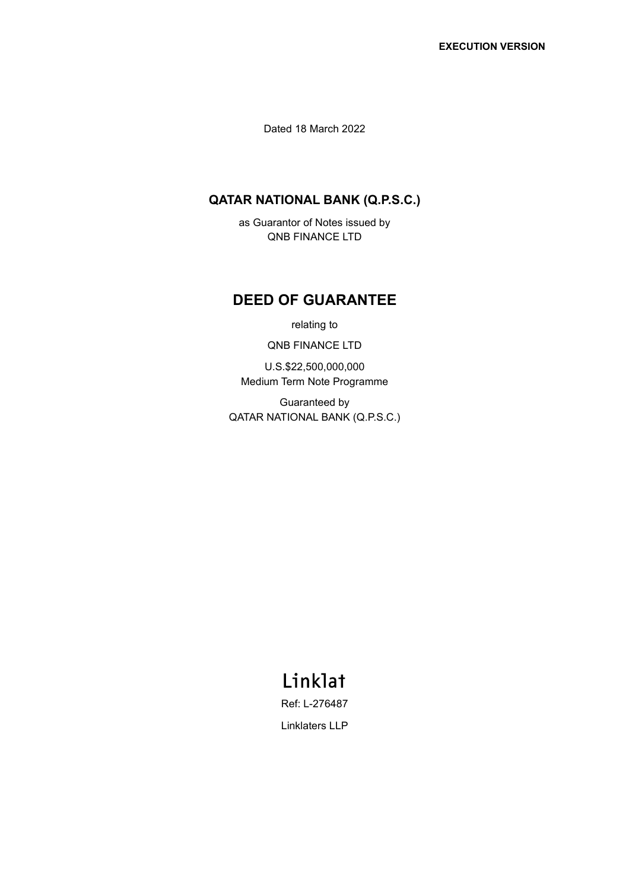Dated 18 March 2022

# **QATAR NATIONAL BANK (Q.P.S.C.)**

as Guarantor of Notes issued by QNB FINANCE LTD

# **DEED OF GUARANTEE**

relating to

QNB FINANCE LTD

U.S.\$22,500,000,000 Medium Term Note Programme

Guaranteed by QATAR NATIONAL BANK (Q.P.S.C.)

# Linklat

Ref: L-276487 Linklaters LLP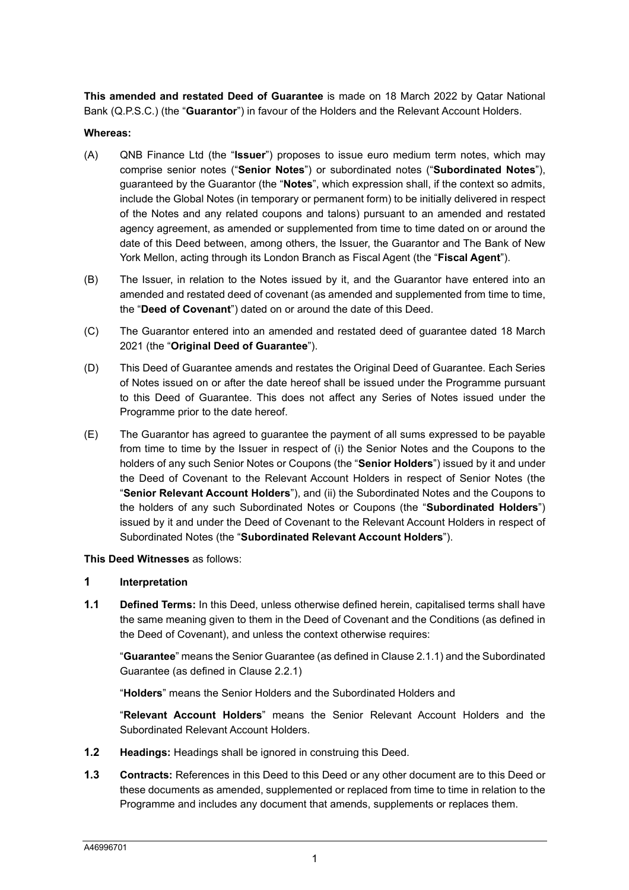**This amended and restated Deed of Guarantee** is made on 18 March 2022 by Qatar National Bank (Q.P.S.C.) (the "**Guarantor**") in favour of the Holders and the Relevant Account Holders.

#### **Whereas:**

- (A) QNB Finance Ltd (the "**Issuer**") proposes to issue euro medium term notes, which may comprise senior notes ("**Senior Notes**") or subordinated notes ("**Subordinated Notes**"), guaranteed by the Guarantor (the "**Notes**", which expression shall, if the context so admits, include the Global Notes (in temporary or permanent form) to be initially delivered in respect of the Notes and any related coupons and talons) pursuant to an amended and restated agency agreement, as amended or supplemented from time to time dated on or around the date of this Deed between, among others, the Issuer, the Guarantor and The Bank of New York Mellon, acting through its London Branch as Fiscal Agent (the "**Fiscal Agent**").
- (B) The Issuer, in relation to the Notes issued by it, and the Guarantor have entered into an amended and restated deed of covenant (as amended and supplemented from time to time, the "**Deed of Covenant**") dated on or around the date of this Deed.
- (C) The Guarantor entered into an amended and restated deed of guarantee dated 18 March 2021 (the "**Original Deed of Guarantee**").
- (D) This Deed of Guarantee amends and restates the Original Deed of Guarantee. Each Series of Notes issued on or after the date hereof shall be issued under the Programme pursuant to this Deed of Guarantee. This does not affect any Series of Notes issued under the Programme prior to the date hereof.
- (E) The Guarantor has agreed to guarantee the payment of all sums expressed to be payable from time to time by the Issuer in respect of (i) the Senior Notes and the Coupons to the holders of any such Senior Notes or Coupons (the "**Senior Holders**") issued by it and under the Deed of Covenant to the Relevant Account Holders in respect of Senior Notes (the "**Senior Relevant Account Holders**"), and (ii) the Subordinated Notes and the Coupons to the holders of any such Subordinated Notes or Coupons (the "**Subordinated Holders**") issued by it and under the Deed of Covenant to the Relevant Account Holders in respect of Subordinated Notes (the "**Subordinated Relevant Account Holders**").

#### **This Deed Witnesses** as follows:

#### **1 Interpretation**

**1.1 Defined Terms:** In this Deed, unless otherwise defined herein, capitalised terms shall have the same meaning given to them in the Deed of Covenant and the Conditions (as defined in the Deed of Covenant), and unless the context otherwise requires:

"**Guarantee**" means the Senior Guarantee (as defined in Clause 2.1.1) and the Subordinated Guarantee (as defined in Clause 2.2.1)

"**Holders**" means the Senior Holders and the Subordinated Holders and

"**Relevant Account Holders**" means the Senior Relevant Account Holders and the Subordinated Relevant Account Holders.

- **1.2 Headings:** Headings shall be ignored in construing this Deed.
- **1.3 Contracts:** References in this Deed to this Deed or any other document are to this Deed or these documents as amended, supplemented or replaced from time to time in relation to the Programme and includes any document that amends, supplements or replaces them.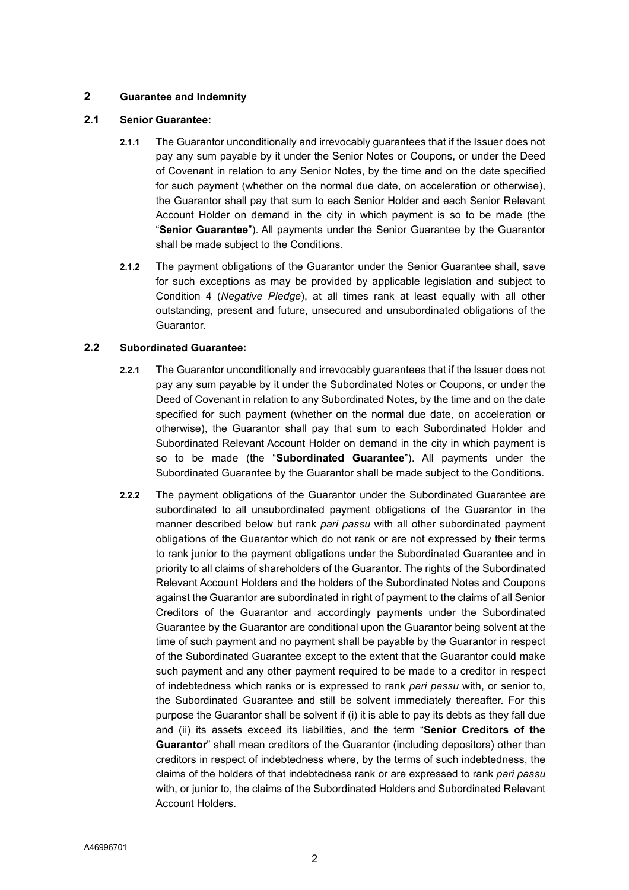## **2 Guarantee and Indemnity**

#### **2.1 Senior Guarantee:**

- **2.1.1** The Guarantor unconditionally and irrevocably guarantees that if the Issuer does not pay any sum payable by it under the Senior Notes or Coupons, or under the Deed of Covenant in relation to any Senior Notes, by the time and on the date specified for such payment (whether on the normal due date, on acceleration or otherwise), the Guarantor shall pay that sum to each Senior Holder and each Senior Relevant Account Holder on demand in the city in which payment is so to be made (the "**Senior Guarantee**"). All payments under the Senior Guarantee by the Guarantor shall be made subject to the Conditions.
- **2.1.2** The payment obligations of the Guarantor under the Senior Guarantee shall, save for such exceptions as may be provided by applicable legislation and subject to Condition 4 (*Negative Pledge*), at all times rank at least equally with all other outstanding, present and future, unsecured and unsubordinated obligations of the Guarantor.

#### **2.2 Subordinated Guarantee:**

- **2.2.1** The Guarantor unconditionally and irrevocably guarantees that if the Issuer does not pay any sum payable by it under the Subordinated Notes or Coupons, or under the Deed of Covenant in relation to any Subordinated Notes, by the time and on the date specified for such payment (whether on the normal due date, on acceleration or otherwise), the Guarantor shall pay that sum to each Subordinated Holder and Subordinated Relevant Account Holder on demand in the city in which payment is so to be made (the "**Subordinated Guarantee**"). All payments under the Subordinated Guarantee by the Guarantor shall be made subject to the Conditions.
- **2.2.2** The payment obligations of the Guarantor under the Subordinated Guarantee are subordinated to all unsubordinated payment obligations of the Guarantor in the manner described below but rank *pari passu* with all other subordinated payment obligations of the Guarantor which do not rank or are not expressed by their terms to rank junior to the payment obligations under the Subordinated Guarantee and in priority to all claims of shareholders of the Guarantor. The rights of the Subordinated Relevant Account Holders and the holders of the Subordinated Notes and Coupons against the Guarantor are subordinated in right of payment to the claims of all Senior Creditors of the Guarantor and accordingly payments under the Subordinated Guarantee by the Guarantor are conditional upon the Guarantor being solvent at the time of such payment and no payment shall be payable by the Guarantor in respect of the Subordinated Guarantee except to the extent that the Guarantor could make such payment and any other payment required to be made to a creditor in respect of indebtedness which ranks or is expressed to rank *pari passu* with, or senior to, the Subordinated Guarantee and still be solvent immediately thereafter. For this purpose the Guarantor shall be solvent if (i) it is able to pay its debts as they fall due and (ii) its assets exceed its liabilities, and the term "**Senior Creditors of the Guarantor**" shall mean creditors of the Guarantor (including depositors) other than creditors in respect of indebtedness where, by the terms of such indebtedness, the claims of the holders of that indebtedness rank or are expressed to rank *pari passu* with, or junior to, the claims of the Subordinated Holders and Subordinated Relevant Account Holders.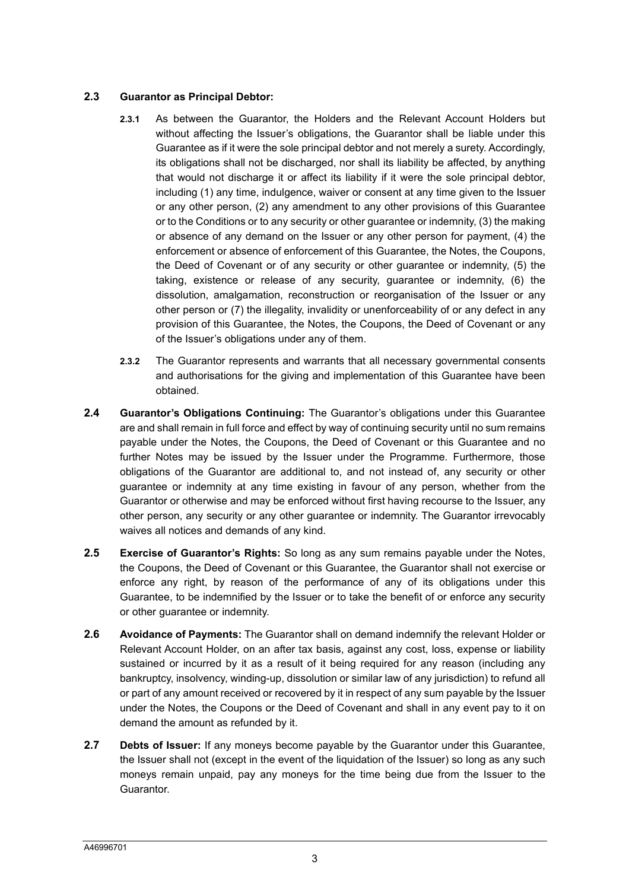### **2.3 Guarantor as Principal Debtor:**

- **2.3.1** As between the Guarantor, the Holders and the Relevant Account Holders but without affecting the Issuer's obligations, the Guarantor shall be liable under this Guarantee as if it were the sole principal debtor and not merely a surety. Accordingly, its obligations shall not be discharged, nor shall its liability be affected, by anything that would not discharge it or affect its liability if it were the sole principal debtor, including (1) any time, indulgence, waiver or consent at any time given to the Issuer or any other person, (2) any amendment to any other provisions of this Guarantee or to the Conditions or to any security or other guarantee or indemnity, (3) the making or absence of any demand on the Issuer or any other person for payment, (4) the enforcement or absence of enforcement of this Guarantee, the Notes, the Coupons, the Deed of Covenant or of any security or other guarantee or indemnity, (5) the taking, existence or release of any security, guarantee or indemnity, (6) the dissolution, amalgamation, reconstruction or reorganisation of the Issuer or any other person or (7) the illegality, invalidity or unenforceability of or any defect in any provision of this Guarantee, the Notes, the Coupons, the Deed of Covenant or any of the Issuer's obligations under any of them.
- **2.3.2** The Guarantor represents and warrants that all necessary governmental consents and authorisations for the giving and implementation of this Guarantee have been obtained.
- **2.4 Guarantor's Obligations Continuing:** The Guarantor's obligations under this Guarantee are and shall remain in full force and effect by way of continuing security until no sum remains payable under the Notes, the Coupons, the Deed of Covenant or this Guarantee and no further Notes may be issued by the Issuer under the Programme. Furthermore, those obligations of the Guarantor are additional to, and not instead of, any security or other guarantee or indemnity at any time existing in favour of any person, whether from the Guarantor or otherwise and may be enforced without first having recourse to the Issuer, any other person, any security or any other guarantee or indemnity. The Guarantor irrevocably waives all notices and demands of any kind.
- **2.5 Exercise of Guarantor's Rights:** So long as any sum remains payable under the Notes, the Coupons, the Deed of Covenant or this Guarantee, the Guarantor shall not exercise or enforce any right, by reason of the performance of any of its obligations under this Guarantee, to be indemnified by the Issuer or to take the benefit of or enforce any security or other guarantee or indemnity.
- **2.6 Avoidance of Payments:** The Guarantor shall on demand indemnify the relevant Holder or Relevant Account Holder, on an after tax basis, against any cost, loss, expense or liability sustained or incurred by it as a result of it being required for any reason (including any bankruptcy, insolvency, winding-up, dissolution or similar law of any jurisdiction) to refund all or part of any amount received or recovered by it in respect of any sum payable by the Issuer under the Notes, the Coupons or the Deed of Covenant and shall in any event pay to it on demand the amount as refunded by it.
- **2.7 Debts of Issuer:** If any moneys become payable by the Guarantor under this Guarantee, the Issuer shall not (except in the event of the liquidation of the Issuer) so long as any such moneys remain unpaid, pay any moneys for the time being due from the Issuer to the Guarantor.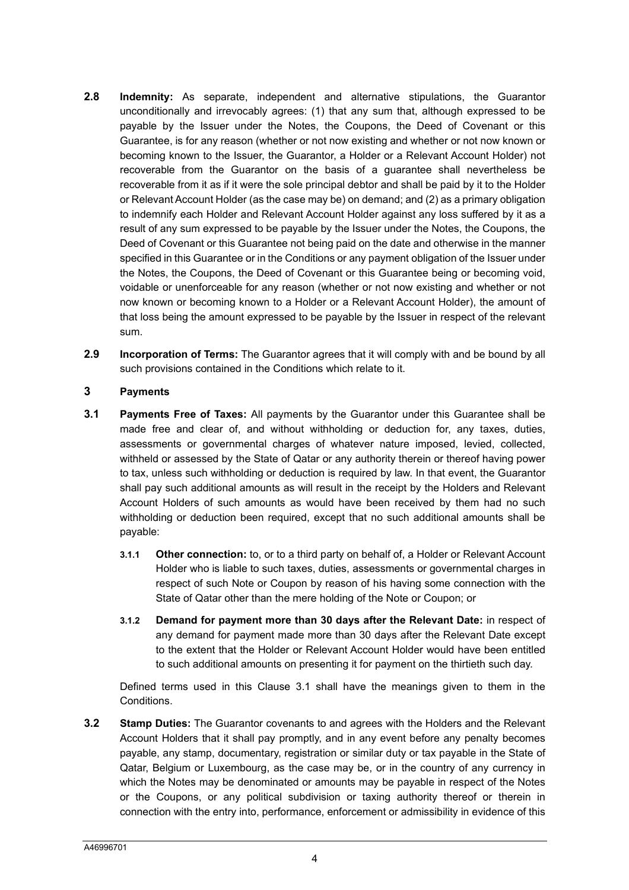- **2.8 Indemnity:** As separate, independent and alternative stipulations, the Guarantor unconditionally and irrevocably agrees: (1) that any sum that, although expressed to be payable by the Issuer under the Notes, the Coupons, the Deed of Covenant or this Guarantee, is for any reason (whether or not now existing and whether or not now known or becoming known to the Issuer, the Guarantor, a Holder or a Relevant Account Holder) not recoverable from the Guarantor on the basis of a guarantee shall nevertheless be recoverable from it as if it were the sole principal debtor and shall be paid by it to the Holder or Relevant Account Holder (as the case may be) on demand; and (2) as a primary obligation to indemnify each Holder and Relevant Account Holder against any loss suffered by it as a result of any sum expressed to be payable by the Issuer under the Notes, the Coupons, the Deed of Covenant or this Guarantee not being paid on the date and otherwise in the manner specified in this Guarantee or in the Conditions or any payment obligation of the Issuer under the Notes, the Coupons, the Deed of Covenant or this Guarantee being or becoming void, voidable or unenforceable for any reason (whether or not now existing and whether or not now known or becoming known to a Holder or a Relevant Account Holder), the amount of that loss being the amount expressed to be payable by the Issuer in respect of the relevant sum.
- **2.9 Incorporation of Terms:** The Guarantor agrees that it will comply with and be bound by all such provisions contained in the Conditions which relate to it.

## **3 Payments**

- **3.1 Payments Free of Taxes:** All payments by the Guarantor under this Guarantee shall be made free and clear of, and without withholding or deduction for, any taxes, duties, assessments or governmental charges of whatever nature imposed, levied, collected, withheld or assessed by the State of Qatar or any authority therein or thereof having power to tax, unless such withholding or deduction is required by law. In that event, the Guarantor shall pay such additional amounts as will result in the receipt by the Holders and Relevant Account Holders of such amounts as would have been received by them had no such withholding or deduction been required, except that no such additional amounts shall be payable:
	- **3.1.1 Other connection:** to, or to a third party on behalf of, a Holder or Relevant Account Holder who is liable to such taxes, duties, assessments or governmental charges in respect of such Note or Coupon by reason of his having some connection with the State of Qatar other than the mere holding of the Note or Coupon; or
	- **3.1.2 Demand for payment more than 30 days after the Relevant Date:** in respect of any demand for payment made more than 30 days after the Relevant Date except to the extent that the Holder or Relevant Account Holder would have been entitled to such additional amounts on presenting it for payment on the thirtieth such day.

Defined terms used in this Clause 3.1 shall have the meanings given to them in the Conditions.

**3.2 Stamp Duties:** The Guarantor covenants to and agrees with the Holders and the Relevant Account Holders that it shall pay promptly, and in any event before any penalty becomes payable, any stamp, documentary, registration or similar duty or tax payable in the State of Qatar, Belgium or Luxembourg, as the case may be, or in the country of any currency in which the Notes may be denominated or amounts may be payable in respect of the Notes or the Coupons, or any political subdivision or taxing authority thereof or therein in connection with the entry into, performance, enforcement or admissibility in evidence of this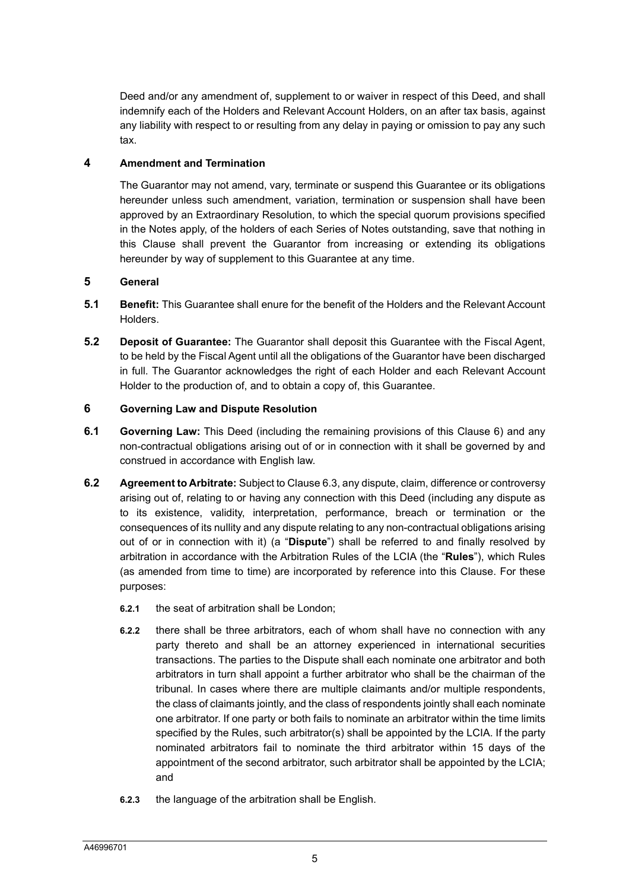Deed and/or any amendment of, supplement to or waiver in respect of this Deed, and shall indemnify each of the Holders and Relevant Account Holders, on an after tax basis, against any liability with respect to or resulting from any delay in paying or omission to pay any such tax.

# **4 Amendment and Termination**

The Guarantor may not amend, vary, terminate or suspend this Guarantee or its obligations hereunder unless such amendment, variation, termination or suspension shall have been approved by an Extraordinary Resolution, to which the special quorum provisions specified in the Notes apply, of the holders of each Series of Notes outstanding, save that nothing in this Clause shall prevent the Guarantor from increasing or extending its obligations hereunder by way of supplement to this Guarantee at any time.

# **5 General**

- **5.1 Benefit:** This Guarantee shall enure for the benefit of the Holders and the Relevant Account Holders.
- **5.2 Deposit of Guarantee:** The Guarantor shall deposit this Guarantee with the Fiscal Agent, to be held by the Fiscal Agent until all the obligations of the Guarantor have been discharged in full. The Guarantor acknowledges the right of each Holder and each Relevant Account Holder to the production of, and to obtain a copy of, this Guarantee.

# **6 Governing Law and Dispute Resolution**

- **6.1 Governing Law:** This Deed (including the remaining provisions of this Clause 6) and any non-contractual obligations arising out of or in connection with it shall be governed by and construed in accordance with English law.
- **6.2 Agreement to Arbitrate:** Subject to Clause 6.3, any dispute, claim, difference or controversy arising out of, relating to or having any connection with this Deed (including any dispute as to its existence, validity, interpretation, performance, breach or termination or the consequences of its nullity and any dispute relating to any non-contractual obligations arising out of or in connection with it) (a "**Dispute**") shall be referred to and finally resolved by arbitration in accordance with the Arbitration Rules of the LCIA (the "**Rules**"), which Rules (as amended from time to time) are incorporated by reference into this Clause. For these purposes:
	- **6.2.1** the seat of arbitration shall be London;
	- **6.2.2** there shall be three arbitrators, each of whom shall have no connection with any party thereto and shall be an attorney experienced in international securities transactions. The parties to the Dispute shall each nominate one arbitrator and both arbitrators in turn shall appoint a further arbitrator who shall be the chairman of the tribunal. In cases where there are multiple claimants and/or multiple respondents, the class of claimants jointly, and the class of respondents jointly shall each nominate one arbitrator. If one party or both fails to nominate an arbitrator within the time limits specified by the Rules, such arbitrator(s) shall be appointed by the LCIA. If the party nominated arbitrators fail to nominate the third arbitrator within 15 days of the appointment of the second arbitrator, such arbitrator shall be appointed by the LCIA; and
	- **6.2.3** the language of the arbitration shall be English.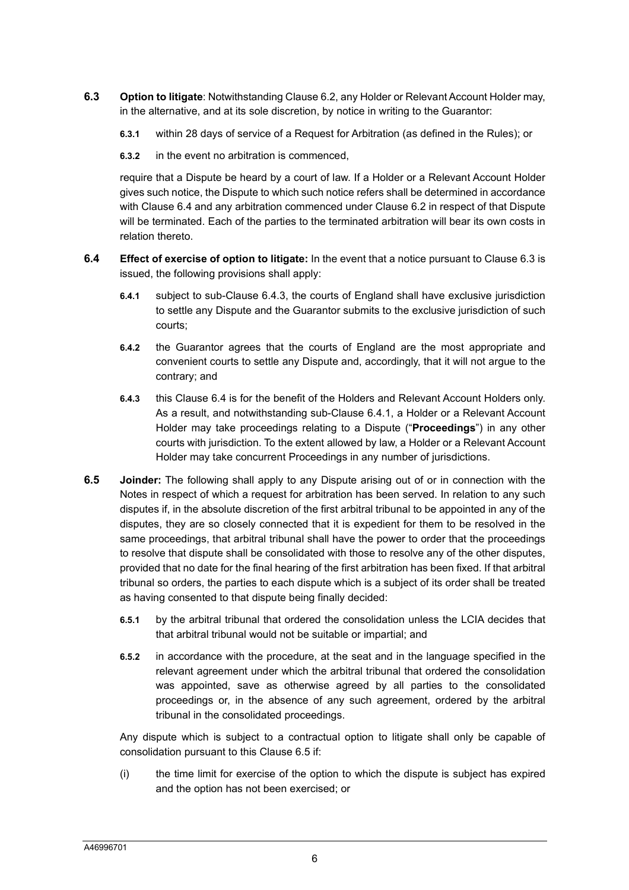- **6.3 Option to litigate**: Notwithstanding Clause 6.2, any Holder or Relevant Account Holder may, in the alternative, and at its sole discretion, by notice in writing to the Guarantor:
	- **6.3.1** within 28 days of service of a Request for Arbitration (as defined in the Rules); or
	- **6.3.2** in the event no arbitration is commenced,

require that a Dispute be heard by a court of law. If a Holder or a Relevant Account Holder gives such notice, the Dispute to which such notice refers shall be determined in accordance with Clause 6.4 and any arbitration commenced under Clause 6.2 in respect of that Dispute will be terminated. Each of the parties to the terminated arbitration will bear its own costs in relation thereto.

- **6.4 Effect of exercise of option to litigate:** In the event that a notice pursuant to Clause 6.3 is issued, the following provisions shall apply:
	- **6.4.1** subject to sub-Clause 6.4.3, the courts of England shall have exclusive jurisdiction to settle any Dispute and the Guarantor submits to the exclusive jurisdiction of such courts;
	- **6.4.2** the Guarantor agrees that the courts of England are the most appropriate and convenient courts to settle any Dispute and, accordingly, that it will not argue to the contrary; and
	- **6.4.3** this Clause 6.4 is for the benefit of the Holders and Relevant Account Holders only. As a result, and notwithstanding sub-Clause 6.4.1, a Holder or a Relevant Account Holder may take proceedings relating to a Dispute ("**Proceedings**") in any other courts with jurisdiction. To the extent allowed by law, a Holder or a Relevant Account Holder may take concurrent Proceedings in any number of jurisdictions.
- **6.5 Joinder:** The following shall apply to any Dispute arising out of or in connection with the Notes in respect of which a request for arbitration has been served. In relation to any such disputes if, in the absolute discretion of the first arbitral tribunal to be appointed in any of the disputes, they are so closely connected that it is expedient for them to be resolved in the same proceedings, that arbitral tribunal shall have the power to order that the proceedings to resolve that dispute shall be consolidated with those to resolve any of the other disputes, provided that no date for the final hearing of the first arbitration has been fixed. If that arbitral tribunal so orders, the parties to each dispute which is a subject of its order shall be treated as having consented to that dispute being finally decided:
	- **6.5.1** by the arbitral tribunal that ordered the consolidation unless the LCIA decides that that arbitral tribunal would not be suitable or impartial; and
	- **6.5.2** in accordance with the procedure, at the seat and in the language specified in the relevant agreement under which the arbitral tribunal that ordered the consolidation was appointed, save as otherwise agreed by all parties to the consolidated proceedings or, in the absence of any such agreement, ordered by the arbitral tribunal in the consolidated proceedings.

Any dispute which is subject to a contractual option to litigate shall only be capable of consolidation pursuant to this Clause 6.5 if:

(i) the time limit for exercise of the option to which the dispute is subject has expired and the option has not been exercised; or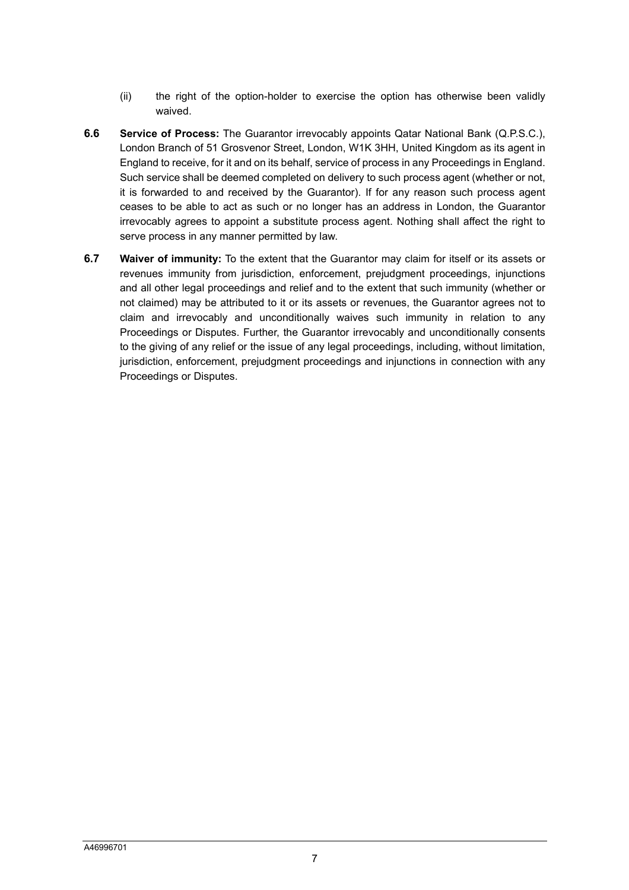- (ii) the right of the option-holder to exercise the option has otherwise been validly waived.
- **6.6 Service of Process:** The Guarantor irrevocably appoints Qatar National Bank (Q.P.S.C.), London Branch of 51 Grosvenor Street, London, W1K 3HH, United Kingdom as its agent in England to receive, for it and on its behalf, service of process in any Proceedings in England. Such service shall be deemed completed on delivery to such process agent (whether or not, it is forwarded to and received by the Guarantor). If for any reason such process agent ceases to be able to act as such or no longer has an address in London, the Guarantor irrevocably agrees to appoint a substitute process agent. Nothing shall affect the right to serve process in any manner permitted by law.
- **6.7 Waiver of immunity:** To the extent that the Guarantor may claim for itself or its assets or revenues immunity from jurisdiction, enforcement, prejudgment proceedings, injunctions and all other legal proceedings and relief and to the extent that such immunity (whether or not claimed) may be attributed to it or its assets or revenues, the Guarantor agrees not to claim and irrevocably and unconditionally waives such immunity in relation to any Proceedings or Disputes. Further, the Guarantor irrevocably and unconditionally consents to the giving of any relief or the issue of any legal proceedings, including, without limitation, jurisdiction, enforcement, prejudgment proceedings and injunctions in connection with any Proceedings or Disputes.